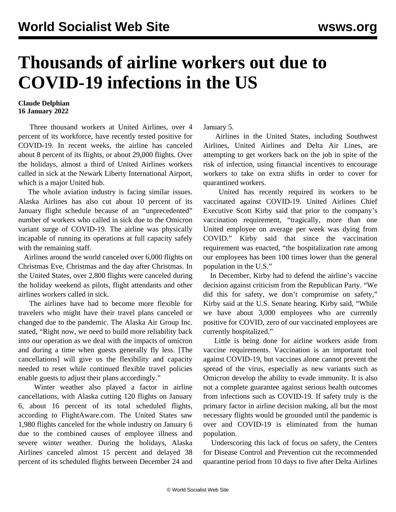## **Thousands of airline workers out due to COVID-19 infections in the US**

## **Claude Delphian 16 January 2022**

 Three thousand workers at United Airlines, over 4 percent of its workforce, have recently tested positive for COVID-19. In recent weeks, the airline has canceled about 8 percent of its flights, or about 29,000 flights. Over the holidays, almost a third of United Airlines workers called in sick at the Newark Liberty International Airport, which is a major United hub.

 The whole aviation industry is facing similar issues. Alaska Airlines has also cut about 10 percent of its January flight schedule because of an "unprecedented" number of workers who called in sick due to the Omicron variant surge of COVID-19. The airline was physically incapable of running its operations at full capacity safely with the remaining staff.

 Airlines around the world canceled over 6,000 flights on Christmas Eve, Christmas and the day after Christmas. In the United States, over 2,800 flights were canceled during the holiday weekend as pilots, flight attendants and other airlines workers called in sick.

 The airlines have had to become more flexible for travelers who might have their travel plans canceled or changed due to the pandemic. The Alaska Air Group Inc. stated, "Right now, we need to build more reliability back into our operation as we deal with the impacts of omicron and during a time when guests generally fly less. [The cancellations] will give us the flexibility and capacity needed to reset while continued flexible travel policies enable guests to adjust their plans accordingly."

 Winter weather also played a factor in airline cancellations, with Alaska cutting 120 flights on January 6, about 16 percent of its total scheduled flights, according to FlightAware.com. The United States saw 1,980 flights canceled for the whole industry on January 6 due to the combined causes of employee illness and severe winter weather. During the holidays, Alaska Airlines canceled almost 15 percent and delayed 38 percent of its scheduled flights between December 24 and January 5.

 Airlines in the United States, including Southwest Airlines, United Airlines and Delta Air Lines, are attempting to get workers back on the job in spite of the risk of infection, using financial incentives to encourage workers to take on extra shifts in order to cover for quarantined workers.

 United has recently required its workers to be vaccinated against COVID-19. United Airlines Chief Executive Scott Kirby said that prior to the company's vaccination requirement, "tragically, more than one United employee on average per week was dying from COVID." Kirby said that since the vaccination requirement was enacted, "the hospitalization rate among our employees has been 100 times lower than the general population in the U.S."

 In December, Kirby had to defend the airline's vaccine decision against criticism from the Republican Party. "We did this for safety, we don't compromise on safety," Kirby said at the U.S. Senate hearing. Kirby said, "While we have about 3,000 employees who are currently positive for COVID, zero of our vaccinated employees are currently hospitalized."

 Little is being done for airline workers aside from vaccine requirements. Vaccination is an important tool against COVID-19, but vaccines alone cannot prevent the spread of the virus, especially as new variants such as Omicron develop the ability to evade immunity. It is also not a complete guarantee against serious health outcomes from infections such as COVID-19. If safety truly is the primary factor in airline decision making, all but the most necessary flights would be grounded until the pandemic is over and COVID-19 is eliminated from the human population.

 Underscoring this lack of focus on safety, the Centers for Disease Control and Prevention cut the recommended quarantine period from 10 days to five after Delta Airlines